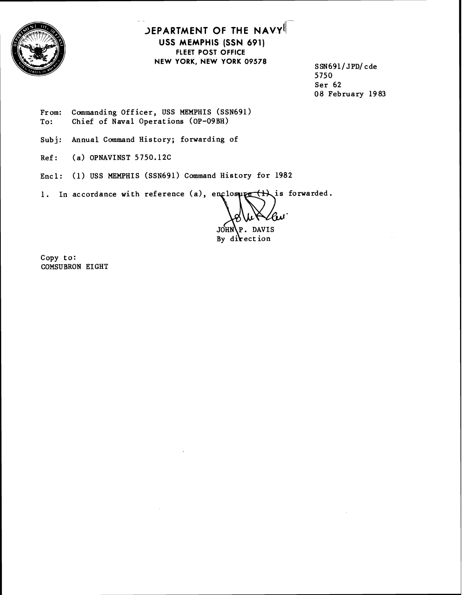

## **JEPARTMENT OF THE NAVY! USS MEMPHIS (SSN 691) FLEET POST OFFICE NEW YORK, NEW YORK 09578 SSN691/ JPD/cde**

**5750 Ser 62 08 February 1983** 

From: Commanding Officer, USS MEMPHIS (SSN691) To: Chief of Naval Operations (OP-09BH)

**Sub j: Annual Command History; forwarding of** 

**Ref: (a) OPNAVINST 5750.12C** 

**Encl: (1) USS MEMPHIS (SSN691) Command History for 1982** 

1. In accordance with reference (a), enclosure (t) is forwarded.

**DAVIS JOHN** 

By direction

**Copy to: COMSUBRON EIGHT**